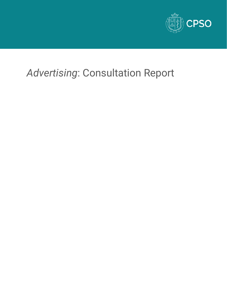

# *Advertising*: Consultation Report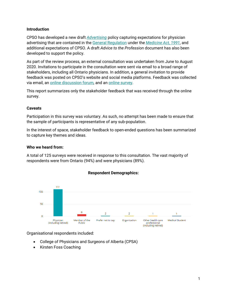#### **Introduction**

CPSO has developed a new draft *[Advertising](http://policyconsult.cpso.on.ca/wp-content/uploads/2020/03/Advertising-Package-Policy-and-Advice-for-Consult.pdf)* policy capturing expectations for physician advertising that are contained in the [General Regulation](http://www.ontario.ca/laws/regulation/940114) under the *[Medicine Act, 1991](https://www.ontario.ca/laws/statute/91m30)*, and additional expectations of CPSO. A draft *Advice to the Profession* document has also been developed to support the policy.

As part of the review process, an external consultation was undertaken from June to August 2020. Invitations to participate in the consultation were sent via email to a broad range of stakeholders, including all Ontario physicians. In addition, a general invitation to provide feedback was posted on CPSO's website and social media platforms. Feedback was collected via email, an [online discussion forum,](http://policyconsult.cpso.on.ca/?page_id=12521) and an [online survey.](http://policyconsult.cpso.on.ca/wp-content/uploads/2020/03/Advertising-Exported-copy-of-survey.pdf)

This report summarizes only the stakeholder feedback that was received through the online survey.

#### **Caveats**

Participation in this survey was voluntary. As such, no attempt has been made to ensure that the sample of participants is representative of any sub-population.

In the interest of space, stakeholder feedback to open-ended questions has been summarized to capture key themes and ideas.

#### **Who we heard from:**

A total of 125 surveys were received in response to this consultation. The vast majority of respondents were from Ontario (94%) and were physicians (89%).



#### **Respondent Demographics:**

Organisational respondents included:

- College of Physicians and Surgeons of Alberta (CPSA)
- Kirsten Foss Coaching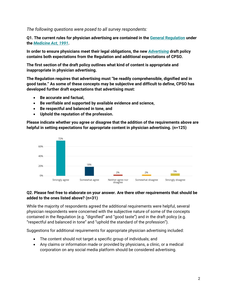# *The following questions were posed to all survey respondents:*

**Q1. The current rules for physician advertising are contained in the [General Regulation](http://www.ontario.ca/laws/regulation/940114) under the** *[Medicine Act, 1991](https://www.ontario.ca/laws/statute/91m30)***.**

**In order to ensure physicians meet their legal obligations, the new** *[Advertising](http://policyconsult.cpso.on.ca/wp-content/uploads/2020/03/Advertising-Package-Policy-and-Advice-for-Consult.pdf)* **draft policy contains both expectations from the Regulation and additional expectations of CPSO.**

**The first section of the draft policy outlines what kind of content is appropriate and inappropriate in physician advertising.** 

**The Regulation requires that advertising must "be readily comprehensible, dignified and in good taste." As some of these concepts may be subjective and difficult to define, CPSO has developed further draft expectations that advertising must:**

- **Be accurate and factual,**
- **Be verifiable and supported by available evidence and science,**
- **Be respectful and balanced in tone, and**
- **Uphold the reputation of the profession.**

**Please indicate whether you agree or disagree that the addition of the requirements above are helpful in setting expectations for appropriate content in physician advertising. (n=125)**



#### **Q2. Please feel free to elaborate on your answer. Are there other requirements that should be added to the ones listed above? (n=31)**

While the majority of respondents agreed the additional requirements were helpful, several physician respondents were concerned with the subjective nature of some of the concepts contained in the Regulation (e.g. "dignified" and "good taste") and in the draft policy (e.g. "respectful and balanced in tone" and "uphold the standard of the profession").

Suggestions for additional requirements for appropriate physician advertising included:

- The content should not target a specific group of individuals; and
- Any claims or information made or provided by physicians, a clinic, or a medical corporation on any social media platform should be considered advertising.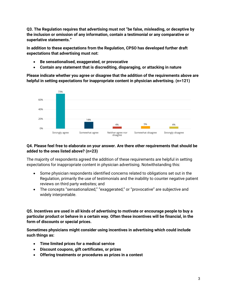**Q3. The Regulation requires that advertising must not "be false, misleading, or deceptive by the inclusion or omission of any information, contain a testimonial or any comparative or superlative statements."**

**In addition to these expectations from the Regulation, CPSO has developed further draft expectations that advertising must not:**

- **Be sensationalised, exaggerated, or provocative**
- **Contain any statement that is discrediting, disparaging, or attacking in nature**

**Please indicate whether you agree or disagree that the addition of the requirements above are helpful in setting expectations for inappropriate content in physician advertising. (n=121)**



### **Q4. Please feel free to elaborate on your answer. Are there other requirements that should be added to the ones listed above? (n=23)**

The majority of respondents agreed the addition of these requirements are helpful in setting expectations for inappropriate content in physician advertising. Notwithstanding this:

- Some physician respondents identified concerns related to obligations set out in the Regulation, primarily the use of testimonials and the inability to counter negative patient reviews on third party websites; and
- The concepts "sensationalized," "exaggerated," or "provocative" are subjective and widely interpretable.

**Q5. Incentives are used in all kinds of advertising to motivate or encourage people to buy a particular product or behave in a certain way. Often these incentives will be financial, in the form of discounts or special prices.**

**Sometimes physicians might consider using incentives in advertising which could include such things as:** 

- **Time limited prices for a medical service**
- **Discount coupons, gift certificates, or prizes**
- **Offering treatments or procedures as prizes in a contest**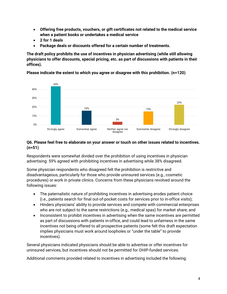- **Offering free products, vouchers, or gift certificates not related to the medical service when a patient books or undertakes a medical service**
- **2 for 1 deals**
- **Package deals or discounts offered for a certain number of treatments.**

**The draft policy prohibits the use of incentives in physician advertising (while still allowing physicians to offer discounts, special pricing, etc. as part of discussions with patients in their offices).** 

**Please indicate the extent to which you agree or disagree with this prohibition. (n=120)**



#### **Q6. Please feel free to elaborate on your answer or touch on other issues related to incentives. (n=51)**

Respondents were somewhat divided over the prohibition of using incentives in physician advertising: 59% agreed with prohibiting incentives in advertising while 38% disagreed.

Some physician respondents who disagreed felt the prohibition is restrictive and disadvantageous, particularly for those who provide uninsured services (e.g., cosmetic procedures) or work in private clinics. Concerns from these physicians revolved around the following issues:

- The paternalistic nature of prohibiting incentives in advertising erodes patient choice (i.e., patients search for final out-of-pocket costs for services prior to in-office visits);
- Hinders physicians' ability to provide services and compete with commercial enterprises who are not subject to the same restrictions (e.g., medical spas) for market share; and
- Inconsistent to prohibit incentives in advertising when the same incentives are permitted as part of discussions with patients in-office, and could lead to unfairness in the same incentives not being offered to all prospective patients (some felt this draft expectation implies physicians must work around loopholes or "under the table" to provide incentives).

Several physicians indicated physicians should be able to advertise or offer incentives for uninsured services, but incentives should not be permitted for OHIP-funded services.

Additional comments provided related to incentives in advertising included the following: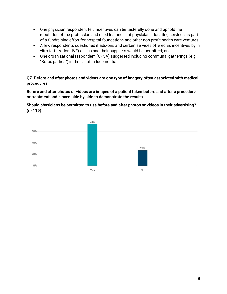- One physician respondent felt incentives can be tastefully done and uphold the reputation of the profession and cited instances of physicians donating services as part of a fundraising effort for hospital foundations and other non-profit health care ventures;
- A few respondents questioned if add-ons and certain services offered as incentives by in vitro fertilization (IVF) clinics and their suppliers would be permitted; and
- One organizational respondent (CPSA) suggested including communal gatherings (e.g., "Botox parties") in the list of inducements.

**Q7. Before and after photos and videos are one type of imagery often associated with medical procedures.** 

**Before and after photos or videos are images of a patient taken before and after a procedure or treatment and placed side by side to demonstrate the results.**

**Should physicians be permitted to use before and after photos or videos in their advertising? (n=119)**

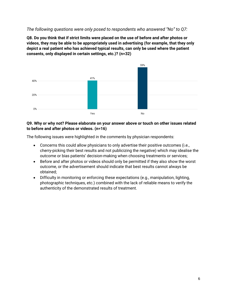# *The following questions were only posed to respondents who answered "No" to Q7:*

**Q8. Do you think that if strict limits were placed on the use of before and after photos or videos, they may be able to be appropriately used in advertising (for example, that they only depict a real patient who has achieved typical results, can only be used where the patient consents, only displayed in certain settings, etc.)? (n=32)**



#### **Q9. Why or why not? Please elaborate on your answer above or touch on other issues related to before and after photos or videos. (n=16)**

The following issues were highlighted in the comments by physician respondents:

- Concerns this could allow physicians to only advertise their positive outcomes (i.e., cherry-picking their best results and not publicizing the negative) which may idealise the outcome or bias patients' decision-making when choosing treatments or services;
- Before and after photos or videos should only be permitted if they also show the worst outcome, or the advertisement should indicate that best results cannot always be obtained;
- Difficulty in monitoring or enforcing these expectations (e.g., manipulation, lighting, photographic techniques, etc.) combined with the lack of reliable means to verify the authenticity of the demonstrated results of treatment.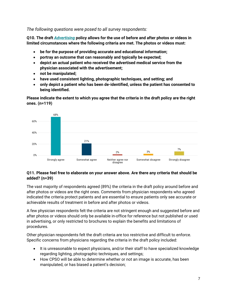*The following questions were posed to all survey respondents:*

**Q10. The draft** *[Advertising](http://policyconsult.cpso.on.ca/wp-content/uploads/2020/03/Advertising-Package-Policy-and-Advice-for-Consult.pdf)* **policy allows for the use of before and after photos or videos in limited circumstances where the following criteria are met. The photos or videos must:**

- **be for the purpose of providing accurate and educational information;**
- **portray an outcome that can reasonably and typically be expected;**
- **depict an actual patient who received the advertised medical service from the physician associated with the advertisement;**
- **not be manipulated;**
- **have used consistent lighting, photographic techniques, and setting; and**
- **only depict a patient who has been de-identified, unless the patient has consented to being identified.**

**Please indicate the extent to which you agree that the criteria in the draft policy are the right ones. (n=119)**



#### **Q11. Please feel free to elaborate on your answer above. Are there any criteria that should be added? (n=39)**

The vast majority of respondents agreed (89%) the criteria in the draft policy around before and after photos or videos are the right ones. Comments from physician respondents who agreed indicated the criteria protect patients and are essential to ensure patients only see accurate or achievable results of treatment in before and after photos or videos.

A few physician respondents felt the criteria are not stringent enough and suggested before and after photos or videos should only be available in-office for reference but not published or used in advertising, or only restricted to brochures to explain the benefits and limitations of procedures.

Other physician respondents felt the draft criteria are too restrictive and difficult to enforce. Specific concerns from physicians regarding the criteria in the draft policy included:

- It is unreasonable to expect physicians, and/or their staff to have specialized knowledge regarding lighting, photographic techniques, and settings;
- How CPSO will be able to determine whether or not an image is accurate, has been manipulated, or has biased a patient's decision;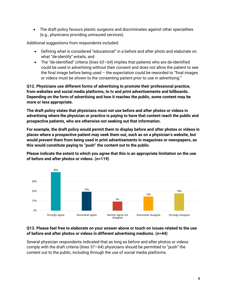• The draft policy favours plastic surgeons and discriminates against other specialities (e.g., physicians providing uninsured services).

Additional suggestions from respondents included:

- Defining what is considered "educational" in a before and after photo and elaborate on what "de-identify" entails; and
- The "de-identified" criteria (*lines 63—64*) implies that patients who are de-identified could be used in advertising without their consent and does not allow the patient to see the final image before being used  $-$  the expectation could be reworded to "final images" or videos must be shown to the consenting patient prior to use in advertising."

**Q12. Physicians use different forms of advertising to promote their professional practice, from websites and social media platforms, to tv and print advertisements and billboards. Depending on the form of advertising and how it reaches the public, some content may be more or less appropriate.** 

**The draft policy states that physicians must not use before and after photos or videos in advertising where the physician or practice is paying to have that content reach the public and prospective patients, who are otherwise not seeking out that information.** 

**For example, the draft policy would permit them to display before and after photos or videos in places where a prospective patient may seek them out, such as on a physician's website, but would prevent them from being used in print advertisements in magazines or newspapers, as this would constitute paying to "push" the content out to the public.** 

**Please indicate the extent to which you agree that this is an appropriate limitation on the use of before and after photos or videos. (n=119)**



#### **Q13. Please feel free to elaborate on your answer above or touch on issues related to the use of before and after photos or videos in different advertising mediums. (n=44)**

Several physician respondents indicated that as long as before and after photos or videos comply with the draft criteria (*lines 57—64*) physicians should be permitted to "push" the content out to the public, including through the use of social media platforms.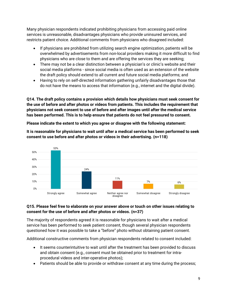Many physician respondents indicated prohibiting physicians from accessing paid online services is unreasonable, disadvantages physicians who provide uninsured services, and restricts patient choice. Additional comments from physicians who disagreed included:

- If physicians are prohibited from utilizing search engine optimization, patients will be overwhelmed by advertisements from non-local providers making it more difficult to find physicians who are close to them and are offering the services they are seeking;
- There may not be a clear distinction between a physician's or clinic's website and their social media platforms - since social media is often used as an extension of the website the draft policy should extend to all current and future social media platforms; and
- Having to rely on self-directed information gathering unfairly disadvantages those that do not have the means to access that information (e.g., internet and the digital divide).

**Q14. The draft policy contains a provision which details how physicians must seek consent for the use of before and after photos or videos from patients. This includes the requirement that physicians not seek consent to use of before and after images until after the medical service has been performed. This is to help ensure that patients do not feel pressured to consent.**

**Please indicate the extent to which you agree or disagree with the following statement:**

**It is reasonable for physicians to wait until after a medical service has been performed to seek consent to use before and after photos or videos in their advertising. (n=118)**



# **Q15. Please feel free to elaborate on your answer above or touch on other issues relating to consent for the use of before and after photos or videos. (n=37)**

The majority of respondents agreed it is reasonable for physicians to wait after a medical service has been performed to seek patient consent, though several physician respondents questioned how it was possible to take a "before" photo without obtaining patient consent.

Additional constructive comments from physician respondents related to consent included:

- It seems counterintuitive to wait until after the treatment has been provided to discuss and obtain consent (e.g., consent must be obtained prior to treatment for intraprocedural videos and inter-operative photos);
- Patients should be able to provide or withdraw consent at any time during the process;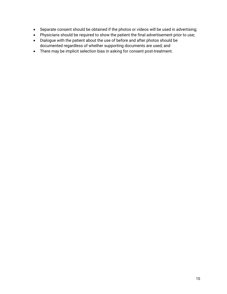- Separate consent should be obtained if the photos or videos will be used in advertising;
- Physicians should be required to show the patient the final advertisement prior to use;
- Dialogue with the patient about the use of before and after photos should be documented regardless of whether supporting documents are used; and
- There may be implicit selection bias in asking for consent post-treatment.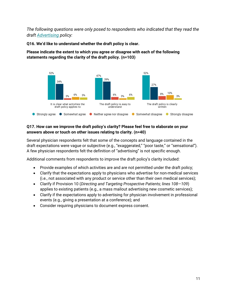*The following questions were only posed to respondents who indicated that they read the draft [Advertising](http://policyconsult.cpso.on.ca/wp-content/uploads/2020/03/Advertising-Package-Policy-and-Advice-for-Consult.pdf) policy:*

**Q16. We'd like to understand whether the draft policy is clear.** 

**Please indicate the extent to which you agree or disagree with each of the following statements regarding the clarity of the draft policy. (n=103)**



# **Q17. How can we improve the draft policy's clarity? Please feel free to elaborate on your answers above or touch on other issues relating to clarity. (n=40)**

Several physician respondents felt that some of the concepts and language contained in the draft expectations were vague or subjective (e.g., "exaggerated," "poor taste," or "sensational"). A few physician respondents felt the definition of "advertising" is not specific enough.

Additional comments from respondents to improve the draft policy's clarity included:

- Provide examples of which activities are and are not permitted under the draft policy;
- Clarify that the expectations apply to physicians who advertise for non-medical services (i.e., not associated with any product or service other than their own medical services);
- Clarify if Provision 10 (*Directing and Targeting Prospective Patients; lines 108—109*) applies to existing patients (e.g., a mass mailout advertising new cosmetic services);
- Clarify if the expectations apply to advertising for physician involvement in professional events (e.g., giving a presentation at a conference); and
- Consider requiring physicians to document express consent.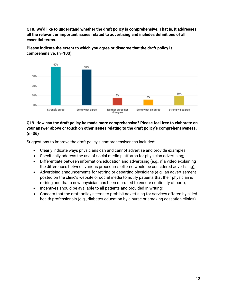**Q18. We'd like to understand whether the draft policy is comprehensive. That is, it addresses all the relevant or important issues related to advertising and includes definitions of all essential terms.**



**Please indicate the extent to which you agree or disagree that the draft policy is comprehensive. (n=103)**

## **Q19. How can the draft policy be made more comprehensive? Please feel free to elaborate on your answer above or touch on other issues relating to the draft policy's comprehensiveness. (n=36)**

Suggestions to improve the draft policy's comprehensiveness included:

- Clearly indicate ways physicians can and cannot advertise and provide examples;
- Specifically address the use of social media platforms for physician advertising;
- Differentiate between information/education and advertising (e.g., if a video explaining the differences between various procedures offered would be considered advertising);
- Advertising announcements for retiring or departing physicians (e.g., an advertisement posted on the clinic's website or social media to notify patients that their physician is retiring and that a new physician has been recruited to ensure continuity of care);
- Incentives should be available to all patients and provided in writing;
- Concern that the draft policy seems to prohibit advertising for services offered by allied health professionals (e.g., diabetes education by a nurse or smoking cessation clinics).